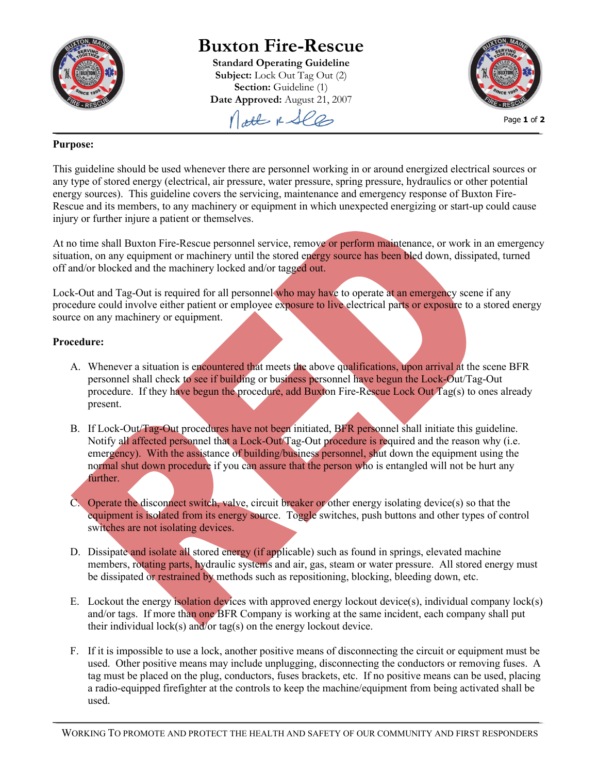

## **Buxton Fire-Rescue**

**Standard Operating Guideline Subject:** Lock Out Tag Out (2) **Section:** Guideline (1) **Date Approved:** August 21, 2007 Molt & See



## **Purpose:**

This guideline should be used whenever there are personnel working in or around energized electrical sources or any type of stored energy (electrical, air pressure, water pressure, spring pressure, hydraulics or other potential energy sources). This guideline covers the servicing, maintenance and emergency response of Buxton Fire-Rescue and its members, to any machinery or equipment in which unexpected energizing or start-up could cause injury or further injure a patient or themselves.

At no time shall Buxton Fire-Rescue personnel service, remove or perform maintenance, or work in an emergency situation, on any equipment or machinery until the stored energy source has been bled down, dissipated, turned off and/or blocked and the machinery locked and/or tagged out.

Lock-Out and Tag-Out is required for all personnel who may have to operate at an emergency scene if any procedure could involve either patient or employee exposure to live electrical parts or exposure to a stored energy source on any machinery or equipment.

## **Procedure:**

- A. Whenever a situation is encountered that meets the above qualifications, upon arrival at the scene BFR personnel shall check to see if building or business personnel have begun the Lock-Out/Tag-Out procedure. If they have begun the procedure, add Buxton Fire-Rescue Lock Out Tag(s) to ones already present.
- B. If Lock-Out/Tag-Out procedures have not been initiated, BFR personnel shall initiate this guideline. Notify all affected personnel that a Lock-Out/Tag-Out procedure is required and the reason why (i.e. emergency). With the assistance of building/business personnel, shut down the equipment using the normal shut down procedure if you can assure that the person who is entangled will not be hurt any further.
- C. Operate the disconnect switch, valve, circuit breaker or other energy isolating device(s) so that the equipment is isolated from its energy source. Toggle switches, push buttons and other types of control switches are not isolating devices.
- D. Dissipate and isolate all stored energy (if applicable) such as found in springs, elevated machine members, rotating parts, hydraulic systems and air, gas, steam or water pressure. All stored energy must be dissipated or restrained by methods such as repositioning, blocking, bleeding down, etc.
- E. Lockout the energy isolation devices with approved energy lockout device(s), individual company lock(s) and/or tags. If more than one BFR Company is working at the same incident, each company shall put their individual lock(s) and/or tag(s) on the energy lockout device.
- F. If it is impossible to use a lock, another positive means of disconnecting the circuit or equipment must be used. Other positive means may include unplugging, disconnecting the conductors or removing fuses. A tag must be placed on the plug, conductors, fuses brackets, etc. If no positive means can be used, placing a radio-equipped firefighter at the controls to keep the machine/equipment from being activated shall be used.